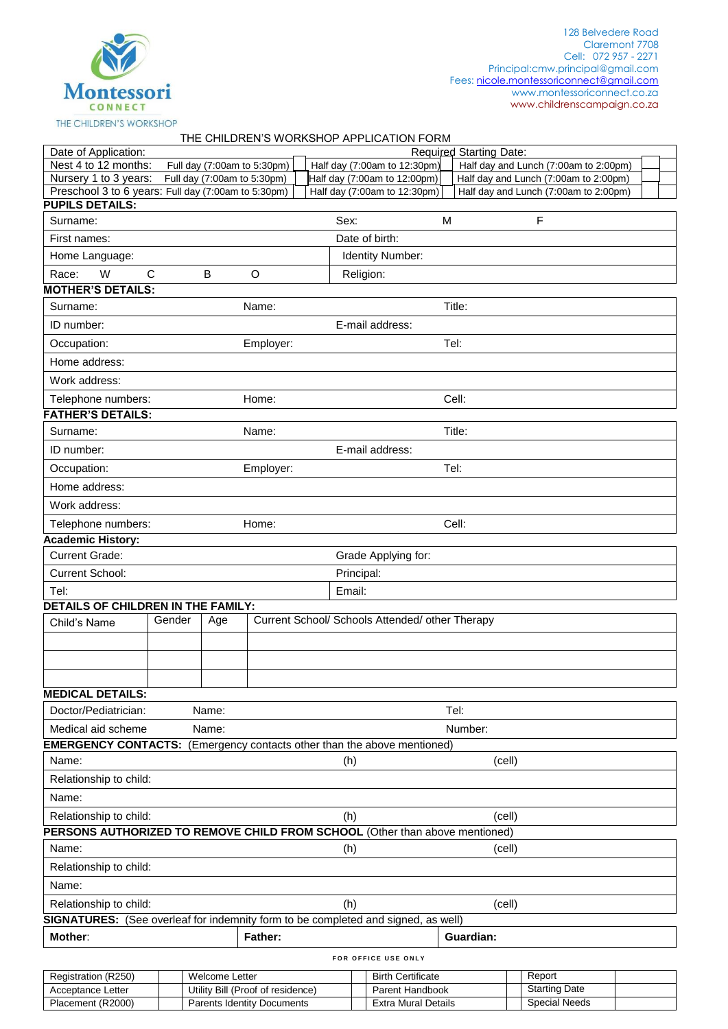

## THE CHILDREN'S WORKSHOP APPLICATION FORM

| Date of Application:                                                              |                                  |                                   |                             |  |                     |                                                 |   | Required Starting Date: |        |                                       |  |
|-----------------------------------------------------------------------------------|----------------------------------|-----------------------------------|-----------------------------|--|---------------------|-------------------------------------------------|---|-------------------------|--------|---------------------------------------|--|
| Nest 4 to 12 months:                                                              |                                  |                                   | Full day (7:00am to 5:30pm) |  |                     | Half day (7:00am to 12:30pm)                    |   |                         |        | Half day and Lunch (7:00am to 2:00pm) |  |
| Nursery 1 to 3 years:                                                             |                                  | Full day (7:00am to 5:30pm)       |                             |  |                     | Half day (7:00am to 12:00pm)                    |   |                         |        | Half day and Lunch (7:00am to 2:00pm) |  |
| Preschool 3 to 6 years: Full day (7:00am to 5:30pm)<br><b>PUPILS DETAILS:</b>     |                                  |                                   |                             |  |                     | Half day (7:00am to 12:30pm)                    |   |                         |        | Half day and Lunch (7:00am to 2:00pm) |  |
| Surname:                                                                          |                                  |                                   |                             |  | Sex:                |                                                 | M |                         |        | $\mathsf F$                           |  |
| First names:                                                                      |                                  |                                   |                             |  |                     | Date of birth:                                  |   |                         |        |                                       |  |
| Home Language:                                                                    |                                  | Identity Number:                  |                             |  |                     |                                                 |   |                         |        |                                       |  |
| $\mathsf{C}$<br>W<br>Race:                                                        |                                  | B                                 | O<br>Religion:              |  |                     |                                                 |   |                         |        |                                       |  |
| <b>MOTHER'S DETAILS:</b>                                                          |                                  |                                   |                             |  |                     |                                                 |   |                         |        |                                       |  |
| Surname:                                                                          |                                  |                                   | Name:                       |  |                     |                                                 |   | Title:                  |        |                                       |  |
| ID number:                                                                        |                                  | E-mail address:                   |                             |  |                     |                                                 |   |                         |        |                                       |  |
| Occupation:                                                                       |                                  |                                   | Employer:                   |  | Tel:                |                                                 |   |                         |        |                                       |  |
| Home address:                                                                     |                                  |                                   |                             |  |                     |                                                 |   |                         |        |                                       |  |
|                                                                                   |                                  |                                   |                             |  |                     |                                                 |   |                         |        |                                       |  |
| Work address:                                                                     |                                  |                                   |                             |  |                     |                                                 |   |                         |        |                                       |  |
| Telephone numbers:<br>Home:<br><b>FATHER'S DETAILS:</b>                           |                                  |                                   |                             |  | Cell:               |                                                 |   |                         |        |                                       |  |
| Surname:                                                                          |                                  |                                   | Name:                       |  |                     |                                                 |   | Title:                  |        |                                       |  |
|                                                                                   |                                  |                                   |                             |  |                     |                                                 |   |                         |        |                                       |  |
| ID number:                                                                        |                                  |                                   |                             |  |                     | E-mail address:                                 |   |                         |        |                                       |  |
|                                                                                   | Occupation:<br>Tel:<br>Employer: |                                   |                             |  |                     |                                                 |   |                         |        |                                       |  |
| Home address:                                                                     |                                  |                                   |                             |  |                     |                                                 |   |                         |        |                                       |  |
| Work address:                                                                     |                                  |                                   |                             |  |                     |                                                 |   |                         |        |                                       |  |
| Telephone numbers:                                                                |                                  |                                   | Home:                       |  |                     |                                                 |   | Cell:                   |        |                                       |  |
| <b>Academic History:</b>                                                          |                                  |                                   |                             |  |                     |                                                 |   |                         |        |                                       |  |
| <b>Current Grade:</b>                                                             |                                  |                                   |                             |  | Grade Applying for: |                                                 |   |                         |        |                                       |  |
| Current School:                                                                   |                                  |                                   |                             |  | Principal:          |                                                 |   |                         |        |                                       |  |
| Tel:                                                                              |                                  |                                   |                             |  | Email:              |                                                 |   |                         |        |                                       |  |
| DETAILS OF CHILDREN IN THE FAMILY:                                                | Gender                           |                                   |                             |  |                     | Current School/ Schools Attended/ other Therapy |   |                         |        |                                       |  |
| Child's Name                                                                      |                                  | Age                               |                             |  |                     |                                                 |   |                         |        |                                       |  |
|                                                                                   |                                  |                                   |                             |  |                     |                                                 |   |                         |        |                                       |  |
|                                                                                   |                                  |                                   |                             |  |                     |                                                 |   |                         |        |                                       |  |
|                                                                                   |                                  |                                   |                             |  |                     |                                                 |   |                         |        |                                       |  |
| <b>MEDICAL DETAILS:</b>                                                           |                                  |                                   |                             |  |                     |                                                 |   |                         |        |                                       |  |
| Doctor/Pediatrician:                                                              |                                  | Name:                             |                             |  |                     |                                                 |   | Tel:                    |        |                                       |  |
| Medical aid scheme                                                                |                                  | Name:                             |                             |  |                     |                                                 |   | Number:                 |        |                                       |  |
| <b>EMERGENCY CONTACTS:</b> (Emergency contacts other than the above mentioned)    |                                  |                                   |                             |  |                     |                                                 |   |                         |        |                                       |  |
| Name:                                                                             |                                  |                                   |                             |  | (h)                 |                                                 |   |                         | (cell) |                                       |  |
| Relationship to child:                                                            |                                  |                                   |                             |  |                     |                                                 |   |                         |        |                                       |  |
| Name:                                                                             |                                  |                                   |                             |  |                     |                                                 |   |                         |        |                                       |  |
| Relationship to child:                                                            |                                  |                                   |                             |  | (h)                 |                                                 |   |                         | (cell) |                                       |  |
| PERSONS AUTHORIZED TO REMOVE CHILD FROM SCHOOL (Other than above mentioned)       |                                  |                                   |                             |  |                     |                                                 |   |                         |        |                                       |  |
| Name:                                                                             |                                  |                                   |                             |  | (h)                 |                                                 |   |                         | (cell) |                                       |  |
| Relationship to child:                                                            |                                  |                                   |                             |  |                     |                                                 |   |                         |        |                                       |  |
| Name:                                                                             |                                  |                                   |                             |  |                     |                                                 |   |                         |        |                                       |  |
| Relationship to child:                                                            |                                  |                                   |                             |  | (h)                 |                                                 |   |                         | (cell) |                                       |  |
| SIGNATURES: (See overleaf for indemnity form to be completed and signed, as well) |                                  |                                   |                             |  |                     |                                                 |   |                         |        |                                       |  |
| Mother:                                                                           |                                  |                                   | <b>Father:</b>              |  |                     |                                                 |   | Guardian:               |        |                                       |  |
|                                                                                   |                                  |                                   |                             |  |                     | FOR OFFICE USE ONLY                             |   |                         |        |                                       |  |
| Registration (R250)                                                               |                                  | <b>Welcome Letter</b>             |                             |  |                     | <b>Birth Certificate</b>                        |   |                         |        | Report                                |  |
| Acceptance Letter                                                                 |                                  | Utility Bill (Proof of residence) |                             |  |                     | Parent Handbook                                 |   |                         |        | <b>Starting Date</b>                  |  |

Acceptance Letter Utility Bill (Proof of residence) Parent Handbook Starting Date<br>
Placement (R2000) Parents Identity Documents Extra Mural Details Special Needs Parents Identity Documents **Extra Mural Details**